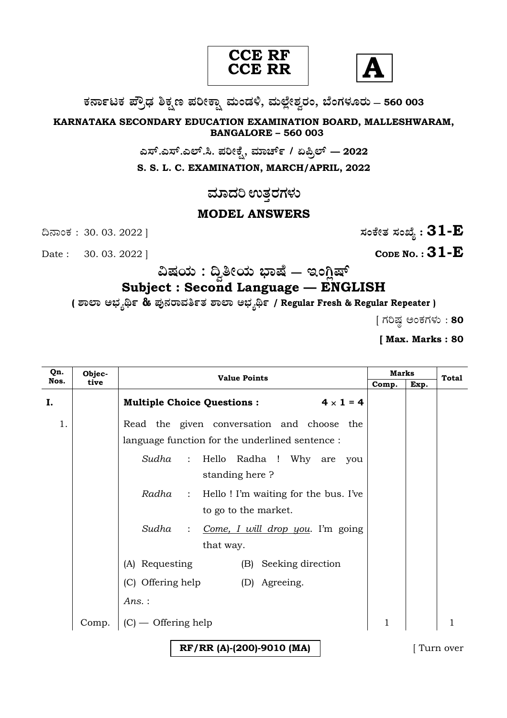



# **O⁄´¤%lO⁄ ÆË√v⁄ ÃO⁄–y Æ⁄¬fiO¤– »⁄flMs⁄ÿ, »⁄fl≈Ê«fiÀ⁄ ¡⁄M, ∑ÊMV⁄◊⁄‡¡⁄fl — 560 003**

**KARNATAKA SECONDARY EDUCATION EXAMINATION BOARD, MALLESHWARAM, BANGALORE – 560 003** 

**G—È.G—È.G≈È.". Æ⁄¬fiOÊ⁄–, »⁄·¤^È% / HØ√≈È — 2022**

**S. S. L. C. EXAMINATION, MARCH/APRIL, 2022** 

<mark>ಮಾದ</mark>ರಿ ಉತ್ತರಗಳು

# **MODEL ANSWERS**

**CODE NO. :** 30. 03. 2022 | **CODE NO. :** 31-**E** 

ದಿನಾಂಕ : 30. 03. 2022 ]  $\vec{B}$ 

 $\frac{1}{2}$ ಷಯ : ದ್ವಿತೀಯ ಭಾಷೆ — ಇಂಗ್ಲಿಷ್

# **Subject : Second Language — ENGLISH**

**( À¤≈¤ @∫⁄¥¿£% & Æ⁄'¥´⁄¡¤»⁄~%}⁄ À¤≈¤ @∫⁄¥¿£% / Regular Fresh & Regular Repeater )**

 $[$  ಗರಿಷ್ಣ ಅಂಕಗಳು : 80

**[ Max. Marks : 80**

| Qn.<br>Nos. | Objec- | <b>Value Points</b>                                                         | <b>Marks</b> |      | <b>Total</b> |
|-------------|--------|-----------------------------------------------------------------------------|--------------|------|--------------|
|             | tive   |                                                                             | Comp.        | Exp. |              |
| I.          |        | <b>Multiple Choice Questions:</b><br>$4 \times 1 = 4$                       |              |      |              |
| 1.          |        | Read the given conversation and choose the                                  |              |      |              |
|             |        | language function for the underlined sentence :                             |              |      |              |
|             |        | Sudha<br>Hello Radha ! Why are you<br>$\sim 10$<br>standing here?           |              |      |              |
|             |        | <i>Radha</i> : Hello! I'm waiting for the bus. I've<br>to go to the market. |              |      |              |
|             |        | Sudha<br>Come, I will drop you. I'm going<br>$\ddot{\cdot}$<br>that way.    |              |      |              |
|             |        | (A) Requesting<br>(B) Seeking direction                                     |              |      |              |
|             |        | (C) Offering help (D) Agreeing.                                             |              |      |              |
|             |        | Ans.:                                                                       |              |      |              |
|             | Comp.  | $(C)$ — Offering help                                                       | $\mathbf{1}$ |      | $\mathbf{1}$ |
|             |        | RF/RR (A)-(200)-9010 (MA)                                                   |              |      | Turn over    |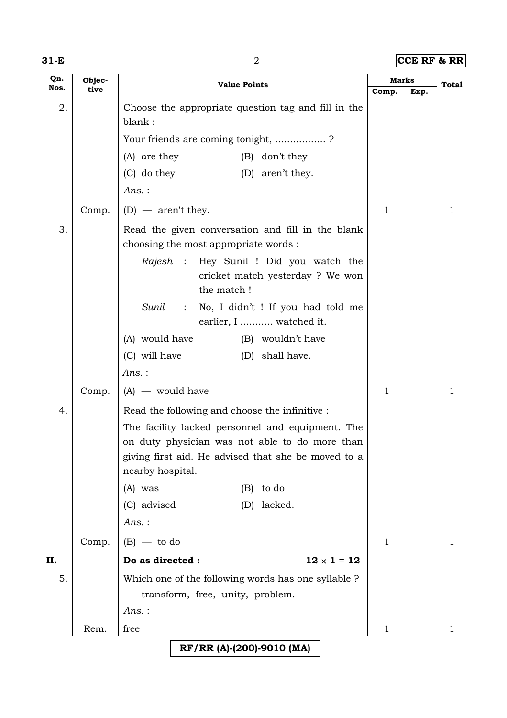| w |  |
|---|--|

#### **31-E** 2 **CCE RF & RR**

| Qn.<br>Nos. | Objec-<br>tive | <b>Value Points</b>                                                                                   | Marks        |      | Total |
|-------------|----------------|-------------------------------------------------------------------------------------------------------|--------------|------|-------|
| 2.          |                | Choose the appropriate question tag and fill in the<br>blank:                                         | Comp.        | Exp. |       |
|             |                | Your friends are coming tonight, ?                                                                    |              |      |       |
|             |                | (A) are they<br>(B)<br>don't they                                                                     |              |      |       |
|             |                | $(C)$ do they<br>(D) aren't they.                                                                     |              |      |       |
|             |                | $Ans.$ :                                                                                              |              |      |       |
|             | Comp.          | $(D)$ — aren't they.                                                                                  | $\mathbf{1}$ |      | 1     |
| 3.          |                | Read the given conversation and fill in the blank<br>choosing the most appropriate words :            |              |      |       |
|             |                | Rajesh : Hey Sunil ! Did you watch the<br>cricket match yesterday? We won<br>the match!               |              |      |       |
|             |                | Sunil :<br>No, I didn't ! If you had told me<br>earlier, I  watched it.                               |              |      |       |
|             |                | (A) would have<br>(B) wouldn't have                                                                   |              |      |       |
|             |                | (C) will have<br>(D) shall have.                                                                      |              |      |       |
|             |                | Ans.:                                                                                                 |              |      |       |
|             | Comp.          | $(A)$ — would have                                                                                    | $\mathbf{1}$ |      | 1     |
| 4.          |                | Read the following and choose the infinitive :                                                        |              |      |       |
|             |                | The facility lacked personnel and equipment. The                                                      |              |      |       |
|             |                | on duty physician was not able to do more than<br>giving first aid. He advised that she be moved to a |              |      |       |
|             |                | nearby hospital.                                                                                      |              |      |       |
|             |                | to do<br>$(A)$ was<br>(B)                                                                             |              |      |       |
|             |                | (C) advised<br>lacked.<br>(D)                                                                         |              |      |       |
|             |                | Ans.:                                                                                                 |              |      |       |
|             | Comp.          | $(B)$ — to do                                                                                         | 1            |      | 1     |
| II.         |                | Do as directed :<br>$12 \times 1 = 12$                                                                |              |      |       |
| 5.          |                | Which one of the following words has one syllable ?<br>transform, free, unity, problem.               |              |      |       |
|             |                | Ans.:                                                                                                 |              |      |       |
|             | Rem.           | free                                                                                                  | 1            |      | 1     |
|             |                | RF/RR (A)-(200)-9010 (MA)                                                                             |              |      |       |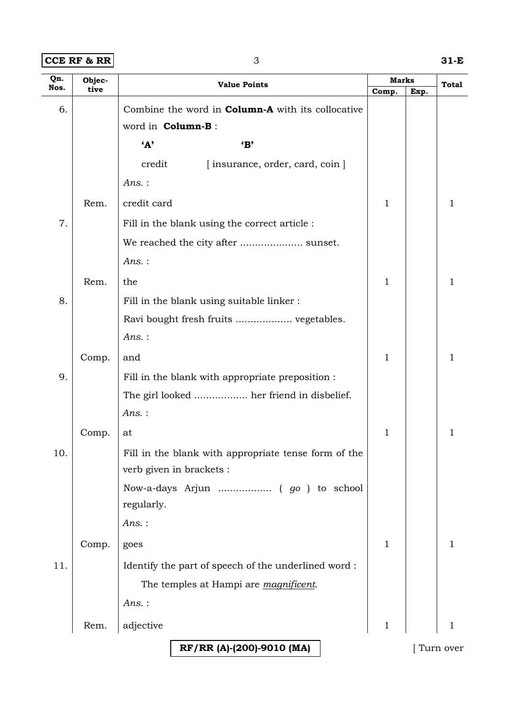## **CCE RF & RR** 3 31-E

| Qn.<br>Nos. | Objec- |                   | <b>Value Points</b>                                      | <b>Marks</b> |      | <b>Total</b> |
|-------------|--------|-------------------|----------------------------------------------------------|--------------|------|--------------|
|             | tive   |                   |                                                          | Comp.        | Exp. |              |
| 6.          |        |                   | Combine the word in <b>Column-A</b> with its collocative |              |      |              |
|             |        | word in Column-B: |                                                          |              |      |              |
|             |        | A'                | $\mathbf{B}'$                                            |              |      |              |
|             |        | credit            | [insurance, order, card, coin]                           |              |      |              |
|             |        | $Ans.$ :          |                                                          |              |      |              |
|             | Rem.   | credit card       |                                                          | 1            |      | 1            |
| 7.          |        |                   | Fill in the blank using the correct article :            |              |      |              |
|             |        |                   | We reached the city after  sunset.                       |              |      |              |
|             |        | $Ans.$ :          |                                                          |              |      |              |
|             | Rem.   | the               |                                                          | $\mathbf 1$  |      | 1            |
| 8.          |        |                   | Fill in the blank using suitable linker:                 |              |      |              |
|             |        |                   | Ravi bought fresh fruits  vegetables.                    |              |      |              |
|             |        | Ans.:             |                                                          |              |      |              |
|             | Comp.  | and               |                                                          | 1            |      | 1            |
| 9.          |        |                   | Fill in the blank with appropriate preposition :         |              |      |              |
|             |        |                   | The girl looked  her friend in disbelief.                |              |      |              |
|             |        | Ans.:             |                                                          |              |      |              |
|             | Comp.  | at                |                                                          | $\mathbf 1$  |      | 1            |
| 10.         |        |                   | Fill in the blank with appropriate tense form of the     |              |      |              |
|             |        |                   | verb given in brackets :                                 |              |      |              |
|             |        |                   | Now-a-days Arjun<br>$(go)$ to school                     |              |      |              |
|             |        | regularly.        |                                                          |              |      |              |
|             |        | Ans.:             |                                                          |              |      |              |
|             | Comp.  | goes              |                                                          | 1            |      | 1            |
| 11.         |        |                   | Identify the part of speech of the underlined word:      |              |      |              |
|             |        |                   | The temples at Hampi are magnificent.                    |              |      |              |
|             |        | Ans.:             |                                                          |              |      |              |
|             | Rem.   | adjective         |                                                          | $\mathbf{1}$ |      | 1            |
|             |        |                   | RF/RR (A)-(200)-9010 (MA)                                |              |      | Turn over    |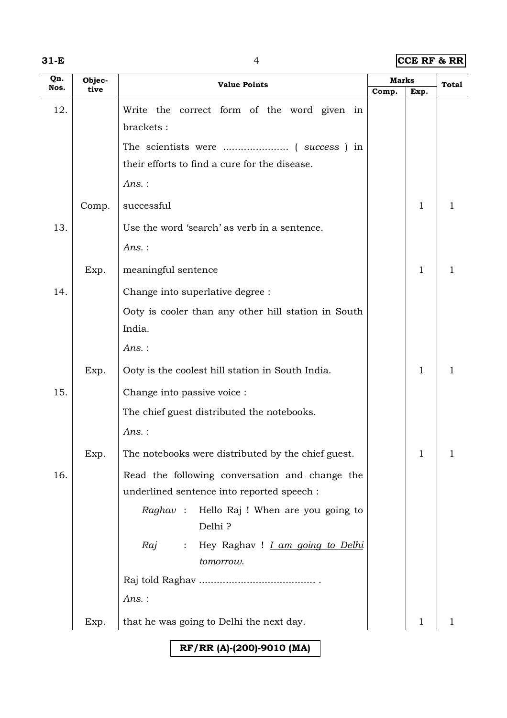| w |  |
|---|--|

## **31-E** 4 **CCE RF & RR**

| Qn.  | Objec- | <b>Value Points</b>                                                                          | Marks |              | Total |
|------|--------|----------------------------------------------------------------------------------------------|-------|--------------|-------|
| Nos. | tive   |                                                                                              | Comp. | Exp.         |       |
| 12.  |        | the correct form of the word given in<br>Write                                               |       |              |       |
|      |        | brackets:                                                                                    |       |              |       |
|      |        |                                                                                              |       |              |       |
|      |        | their efforts to find a cure for the disease.                                                |       |              |       |
|      |        | Ans.:                                                                                        |       |              |       |
|      | Comp.  | successful                                                                                   |       | $\mathbf{1}$ | 1     |
| 13.  |        | Use the word 'search' as verb in a sentence.                                                 |       |              |       |
|      |        | Ans.:                                                                                        |       |              |       |
|      | Exp.   | meaningful sentence                                                                          |       | $\mathbf{1}$ | 1     |
| 14.  |        | Change into superlative degree :                                                             |       |              |       |
|      |        | Ooty is cooler than any other hill station in South                                          |       |              |       |
|      |        | India.                                                                                       |       |              |       |
|      |        | $Ans.$ :                                                                                     |       |              |       |
|      | Exp.   | Ooty is the coolest hill station in South India.                                             |       | $\mathbf{1}$ | 1     |
| 15.  |        | Change into passive voice :                                                                  |       |              |       |
|      |        | The chief guest distributed the notebooks.                                                   |       |              |       |
|      |        | Ans.:                                                                                        |       |              |       |
|      | Exp.   | The notebooks were distributed by the chief guest.                                           |       | 1            | T     |
| 16.  |        | Read the following conversation and change the<br>underlined sentence into reported speech : |       |              |       |
|      |        | Raghav :<br>Hello Raj ! When are you going to<br>Delhi?                                      |       |              |       |
|      |        | Raj<br>Hey Raghav ! <i>I am going to Delhi</i><br>$\ddot{\cdot}$<br>tomorrow.                |       |              |       |
|      |        |                                                                                              |       |              |       |
|      |        | $Ans.$ :                                                                                     |       |              |       |
|      | Exp.   | that he was going to Delhi the next day.                                                     |       | 1            | 1     |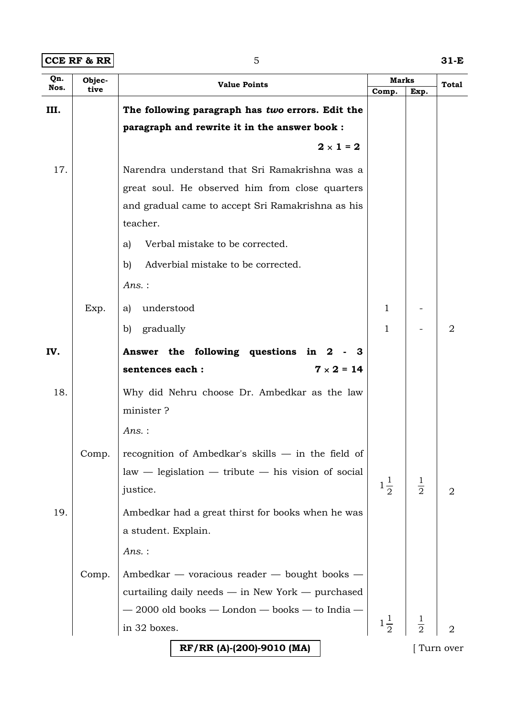| Qn.  | Objec- | <b>Value Points</b>                                      | Marks          |               | Total          |
|------|--------|----------------------------------------------------------|----------------|---------------|----------------|
| Nos. | tive   |                                                          | Comp.          | Exp.          |                |
| III. |        | The following paragraph has two errors. Edit the         |                |               |                |
|      |        | paragraph and rewrite it in the answer book :            |                |               |                |
|      |        | $2 \times 1 = 2$                                         |                |               |                |
| 17.  |        | Narendra understand that Sri Ramakrishna was a           |                |               |                |
|      |        | great soul. He observed him from close quarters          |                |               |                |
|      |        | and gradual came to accept Sri Ramakrishna as his        |                |               |                |
|      |        | teacher.                                                 |                |               |                |
|      |        | Verbal mistake to be corrected.<br>a)                    |                |               |                |
|      |        | Adverbial mistake to be corrected.<br>b)                 |                |               |                |
|      |        | $Ans.$ :                                                 |                |               |                |
|      | Exp.   | understood<br>a)                                         | 1              |               |                |
|      |        | gradually<br>b)                                          | 1              |               | $\overline{2}$ |
| IV.  |        | Answer the following questions in<br>2<br>З              |                |               |                |
|      |        | $7 \times 2 = 14$<br>sentences each :                    |                |               |                |
| 18.  |        | Why did Nehru choose Dr. Ambedkar as the law             |                |               |                |
|      |        | minister?                                                |                |               |                |
|      |        | Ans.:                                                    |                |               |                |
|      | Comp.  | recognition of Ambedkar's skills $-$ in the field of     |                |               |                |
|      |        | $law - legislation - tribute - his vision of social$     |                |               |                |
|      |        | justice.                                                 | $1\frac{1}{2}$ | $\frac{1}{2}$ | 2              |
| 19.  |        | Ambedkar had a great thirst for books when he was        |                |               |                |
|      |        | a student. Explain.                                      |                |               |                |
|      |        | Ans.:                                                    |                |               |                |
|      | Comp.  | Ambedkar — voracious reader — bought books —             |                |               |                |
|      |        | curtailing daily needs $-$ in New York $-$ purchased     |                |               |                |
|      |        | $-$ 2000 old books $-$ London $-$ books $-$ to India $-$ |                |               |                |
|      |        | in 32 boxes.                                             | $1\frac{1}{2}$ | $\frac{1}{2}$ | $\overline{2}$ |
|      |        | RF/RR (A)-(200)-9010 (MA)                                |                |               | [ Turn over    |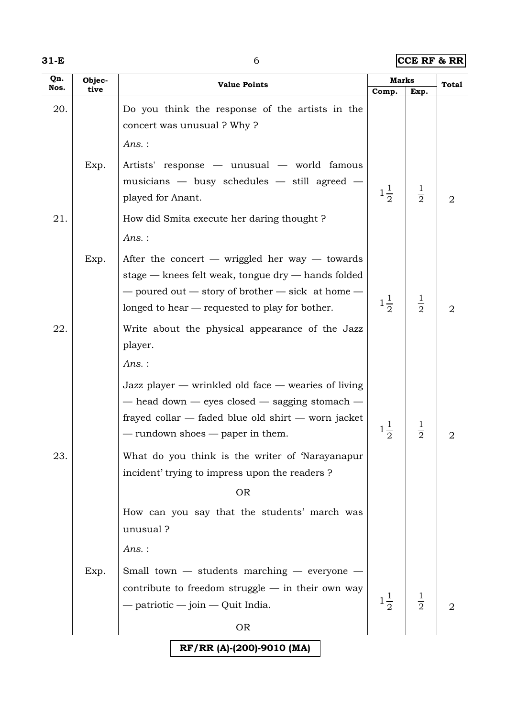| w |  |
|---|--|

**31-E** 6 **CCE RF & RR**

| Qn.  | Objec- | <b>Value Points</b>                                                                                                                                                                                                             | <b>Marks</b>   |                              | <b>Total</b>   |
|------|--------|---------------------------------------------------------------------------------------------------------------------------------------------------------------------------------------------------------------------------------|----------------|------------------------------|----------------|
| Nos. | tive   |                                                                                                                                                                                                                                 | Comp.          | Exp.                         |                |
| 20.  |        | Do you think the response of the artists in the<br>concert was unusual? Why?<br>Ans.:                                                                                                                                           |                |                              |                |
|      |        |                                                                                                                                                                                                                                 |                |                              |                |
|      | Exp.   | Artists' response — unusual — world famous<br>musicians - busy schedules - still agreed -<br>played for Anant.                                                                                                                  | $1\frac{1}{2}$ | $\frac{1}{2}$                | $\overline{2}$ |
| 21.  |        | How did Smita execute her daring thought?                                                                                                                                                                                       |                |                              |                |
|      |        | $Ans.$ :                                                                                                                                                                                                                        |                |                              |                |
|      | Exp.   | After the concert — wriggled her way — towards<br>stage $-$ knees felt weak, tongue $\text{dry}$ $-$ hands folded<br>$-$ poured out $-$ story of brother $-$ sick at home $-$<br>longed to hear — requested to play for bother. | $1\frac{1}{2}$ | $\frac{1}{2}$                | $\overline{2}$ |
| 22.  |        | Write about the physical appearance of the Jazz<br>player.                                                                                                                                                                      |                |                              |                |
|      |        | Ans.:                                                                                                                                                                                                                           |                |                              |                |
|      |        | Jazz player $-$ wrinkled old face $-$ wearies of living<br>- head down - eyes closed - sagging stomach -<br>frayed collar — faded blue old shirt — worn jacket<br>- rundown shoes - paper in them.                              | $1\frac{1}{2}$ | $\frac{1}{2}$                | 2              |
| 23.  |        | What do you think is the writer of 'Narayanapur<br>incident' trying to impress upon the readers?<br><b>OR</b>                                                                                                                   |                |                              |                |
|      |        | How can you say that the students' march was<br>unusual ?                                                                                                                                                                       |                |                              |                |
|      |        | $Ans.$ :                                                                                                                                                                                                                        |                |                              |                |
|      | Exp.   | Small town $-$ students marching $-$ everyone $-$                                                                                                                                                                               |                |                              |                |
|      |        | contribute to freedom struggle $-$ in their own way                                                                                                                                                                             |                |                              |                |
|      |        | $-$ patriotic $-$ join $-$ Quit India.                                                                                                                                                                                          |                | $1\frac{1}{2}$ $\frac{1}{2}$ |                |
|      |        | <b>OR</b>                                                                                                                                                                                                                       |                |                              |                |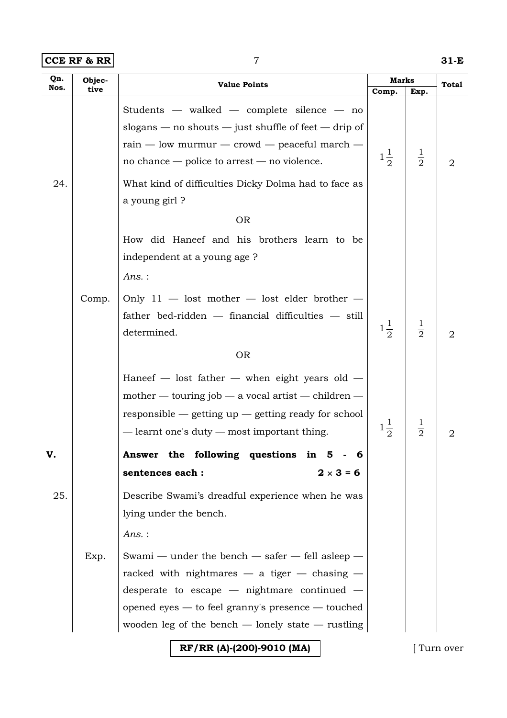| $ CCE$ RF & RR $ $ | $31-E$ |
|--------------------|--------|
|--------------------|--------|

| Qn.  | Objec- | <b>Value Points</b>                                      | Marks          |               | <b>Total</b> |
|------|--------|----------------------------------------------------------|----------------|---------------|--------------|
| Nos. | tive   |                                                          | Comp.          | Exp.          |              |
|      |        | Students $-$ walked $-$ complete silence $-$ no          |                |               |              |
|      |        | slogans — no shouts — just shuffle of feet — drip of     |                |               |              |
|      |        | $rain$ — low murmur — crowd — peaceful march —           |                |               |              |
|      |        | no chance $-$ police to arrest $-$ no violence.          | $1\frac{1}{2}$ | $\frac{1}{2}$ | 2            |
| 24.  |        | What kind of difficulties Dicky Dolma had to face as     |                |               |              |
|      |        | a young girl?                                            |                |               |              |
|      |        | <b>OR</b>                                                |                |               |              |
|      |        | How did Haneef and his brothers learn to be              |                |               |              |
|      |        | independent at a young age?                              |                |               |              |
|      |        | Ans.:                                                    |                |               |              |
|      | Comp.  | Only $11$ - lost mother - lost elder brother -           |                |               |              |
|      |        | $father$ bed-ridden $-$ financial difficulties $-$ still |                |               |              |
|      |        | determined.                                              | $1\frac{1}{2}$ | $\frac{1}{2}$ | 2            |
|      |        | <b>OR</b>                                                |                |               |              |
|      |        | Haneef $-$ lost father $-$ when eight years old $-$      |                |               |              |
|      |        | mother — touring job — a vocal artist — children —       |                |               |              |
|      |        | responsible $-$ getting up $-$ getting ready for school  |                |               |              |
|      |        | — learnt one's duty — most important thing.              | $1\frac{1}{2}$ | $\frac{1}{2}$ | 2            |
| V.   |        | Answer the following questions in 5 - 6                  |                |               |              |
|      |        | $2 \times 3 = 6$<br>sentences each :                     |                |               |              |
| 25.  |        | Describe Swami's dreadful experience when he was         |                |               |              |
|      |        | lying under the bench.                                   |                |               |              |
|      |        | Ans.:                                                    |                |               |              |
|      | Exp.   | Swami — under the bench — safer — fell asleep —          |                |               |              |
|      |        | racked with nightmares $-$ a tiger $-$ chasing $-$       |                |               |              |
|      |        | desperate to escape $-$ nightmare continued $-$          |                |               |              |
|      |        | opened eyes — to feel granny's presence — touched        |                |               |              |
|      |        | wooden leg of the bench $-$ lonely state $-$ rustling    |                |               |              |
|      |        | RF/RR (A)-(200)-9010 (MA)                                |                |               | [ Turn over  |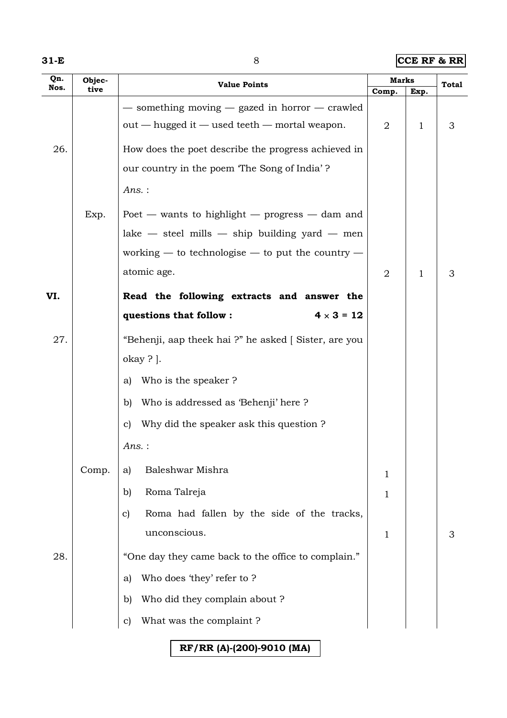|--|--|--|

## **31-E** 8 **CCE RF & RR**

| Qn.<br>Objec- |       | <b>Value Points</b>                                           | Marks          |              | Total |
|---------------|-------|---------------------------------------------------------------|----------------|--------------|-------|
| Nos.          | tive  |                                                               | Comp.          | Exp.         |       |
|               |       | - something moving - gazed in horror - crawled                |                |              |       |
|               |       | out — hugged it — used teeth — mortal weapon.                 | $\overline{2}$ | $\mathbf{1}$ | 3     |
| 26.           |       | How does the poet describe the progress achieved in           |                |              |       |
|               |       | our country in the poem 'The Song of India'?                  |                |              |       |
|               |       | $Ans.$ :                                                      |                |              |       |
|               | Exp.  | Poet $-$ wants to highlight $-$ progress $-$ dam and          |                |              |       |
|               |       | $\lambda$ lake $-$ steel mills $-$ ship building yard $-$ men |                |              |       |
|               |       | working — to technologise — to put the country —              |                |              |       |
|               |       | atomic age.                                                   | 2              | $\mathbf{1}$ | 3     |
| VI.           |       | Read the following extracts and answer the                    |                |              |       |
|               |       | $4 \times 3 = 12$<br>questions that follow :                  |                |              |       |
| 27.           |       | "Behenji, aap theek hai ?" he asked [Sister, are you          |                |              |       |
|               |       | $okay ?$ .                                                    |                |              |       |
|               |       | a) Who is the speaker?                                        |                |              |       |
|               |       | b) Who is addressed as 'Behenji' here?                        |                |              |       |
|               |       | Why did the speaker ask this question?<br>$\mathbf{C}$        |                |              |       |
|               |       | Ans.:                                                         |                |              |       |
|               | Comp. | Baleshwar Mishra<br>a)                                        | 1              |              |       |
|               |       | Roma Talreja<br>b)                                            | 1              |              |       |
|               |       | Roma had fallen by the side of the tracks,<br>$\mathbf{c}$    |                |              |       |
|               |       | unconscious.                                                  | 1              |              | 3     |
| 28.           |       | "One day they came back to the office to complain."           |                |              |       |
|               |       | Who does 'they' refer to ?<br>a)                              |                |              |       |
|               |       | Who did they complain about ?<br>$\mathbf{b}$                 |                |              |       |
|               |       | What was the complaint?<br>C)                                 |                |              |       |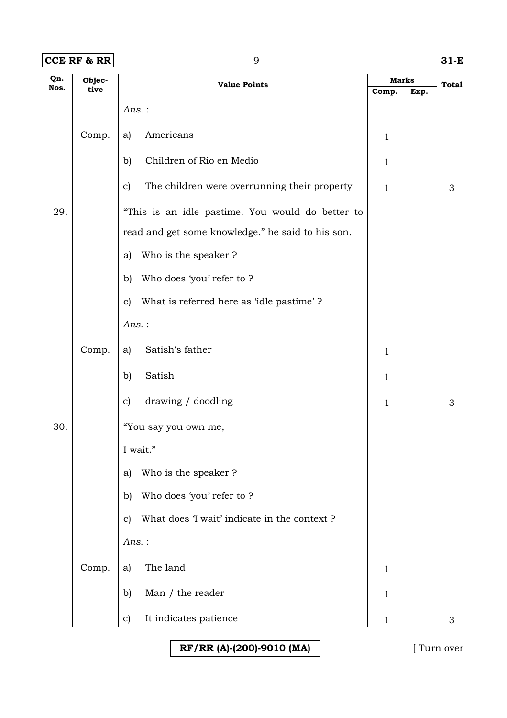**CCE RF & RR** 9 31-E

| Qn.  | Objec- | <b>Value Points</b>                                          |              | <b>Marks</b> | <b>Total</b> |
|------|--------|--------------------------------------------------------------|--------------|--------------|--------------|
| Nos. | tive   |                                                              | Comp.        | Exp.         |              |
|      |        | Ans.:                                                        |              |              |              |
|      | Comp.  | Americans<br>a)                                              | 1            |              |              |
|      |        | Children of Rio en Medio<br>b)                               | 1            |              |              |
|      |        | The children were overrunning their property<br>$\mathbf{c}$ | $\mathbf{1}$ |              | 3            |
| 29.  |        | "This is an idle pastime. You would do better to             |              |              |              |
|      |        | read and get some knowledge," he said to his son.            |              |              |              |
|      |        | Who is the speaker?<br>a)                                    |              |              |              |
|      |        | Who does 'you' refer to ?<br>b)                              |              |              |              |
|      |        | What is referred here as 'idle pastime'?<br>$\mathbf{c}$     |              |              |              |
|      |        | $Ans.$ :                                                     |              |              |              |
|      | Comp.  | Satish's father<br>a)                                        | 1            |              |              |
|      |        | Satish<br>$\mathbf{b}$                                       | 1            |              |              |
|      |        | drawing / doodling<br>$\mathbf{c}$                           | 1            |              | 3            |
| 30.  |        | "You say you own me,                                         |              |              |              |
|      |        | I wait."                                                     |              |              |              |
|      |        | Who is the speaker?<br>a)                                    |              |              |              |
|      |        | Who does 'you' refer to ?<br>$\mathbf{b}$                    |              |              |              |
|      |        | What does 'I wait' indicate in the context ?<br>$\mathbf{c}$ |              |              |              |
|      |        | $Ans.$ :                                                     |              |              |              |
|      | Comp.  | The land<br>a)                                               | $\mathbf 1$  |              |              |
|      |        | Man / the reader<br>b)                                       | 1            |              |              |
|      |        | It indicates patience<br>$\mathbf{c})$                       | 1            |              | 3            |

**RF/RR (A)-(200)-9010 (MA)** [ Turn over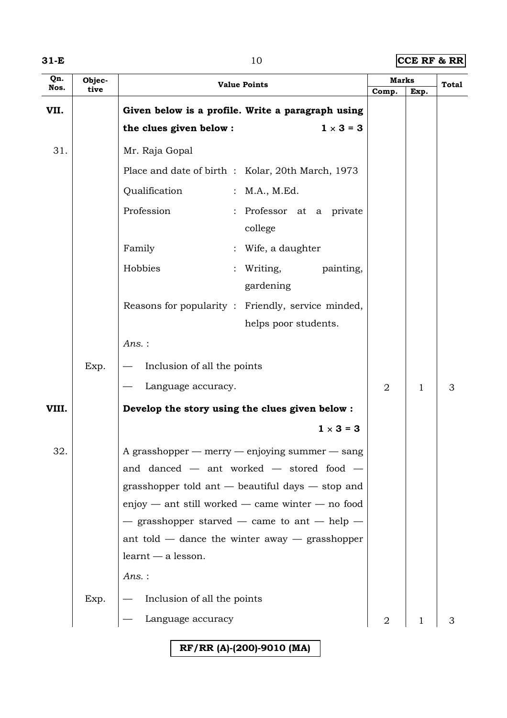| w<br>۰. |  |  |
|---------|--|--|
|---------|--|--|

**310 CCE RF & RR** 

| Qn.   | Objec- | <b>Value Points</b>                                                                       |                | <b>Marks</b> | <b>Total</b> |
|-------|--------|-------------------------------------------------------------------------------------------|----------------|--------------|--------------|
| Nos.  | tive   |                                                                                           | Comp.          | Exp.         |              |
| VII.  |        | Given below is a profile. Write a paragraph using                                         |                |              |              |
|       |        | $1 \times 3 = 3$<br>the clues given below :                                               |                |              |              |
| 31.   |        | Mr. Raja Gopal                                                                            |                |              |              |
|       |        | Place and date of birth : Kolar, 20th March, 1973                                         |                |              |              |
|       |        | Qualification<br>: M.A., M.Ed.                                                            |                |              |              |
|       |        | Profession<br>: Professor at a private<br>college                                         |                |              |              |
|       |        | Family<br>: Wife, a daughter                                                              |                |              |              |
|       |        | Hobbies<br>Writing,<br>painting,<br>gardening                                             |                |              |              |
|       |        | Reasons for popularity : Friendly, service minded,                                        |                |              |              |
|       |        | helps poor students.<br>$Ans.$ :                                                          |                |              |              |
|       |        |                                                                                           |                |              |              |
|       | Exp.   | Inclusion of all the points                                                               |                |              |              |
|       |        | Language accuracy.                                                                        | $\overline{2}$ | 1            | 3            |
| VIII. |        | Develop the story using the clues given below :                                           |                |              |              |
|       |        | $1 \times 3 = 3$                                                                          |                |              |              |
| 32.   |        | A grasshopper — merry — enjoying summer — sang<br>and danced - ant worked - stored food - |                |              |              |
|       |        | grasshopper told ant $-$ beautiful days $-$ stop and                                      |                |              |              |
|       |        | $enjoy - ant still worked - came winter - no food$                                        |                |              |              |
|       |        | $-$ grasshopper starved $-$ came to ant $-$ help $-$                                      |                |              |              |
|       |        | ant told $-$ dance the winter away $-$ grasshopper                                        |                |              |              |
|       |        | learnt - a lesson.                                                                        |                |              |              |
|       |        | $Ans.$ :                                                                                  |                |              |              |
|       | Exp.   | Inclusion of all the points                                                               |                |              |              |
|       |        | Language accuracy                                                                         | 2              |              |              |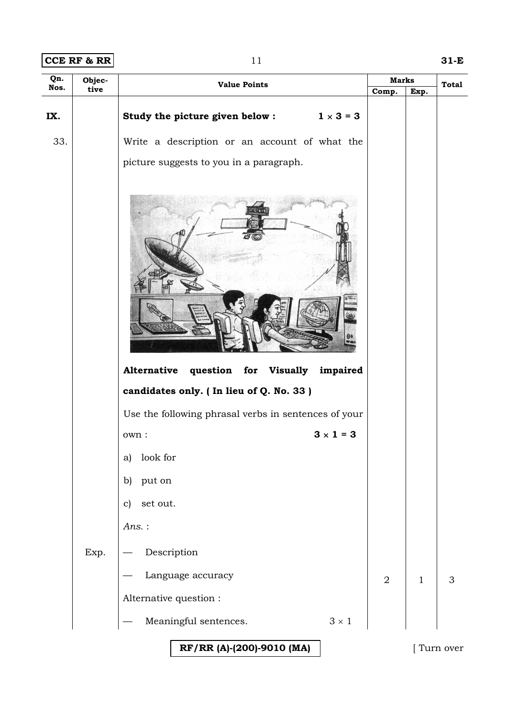| $ CCE$ RF & RR $ $ | $31-E$ |
|--------------------|--------|
|--------------------|--------|

| Qn.  | Objec- | <b>Value Points</b>                                  | <b>Marks</b>   |              | <b>Total</b> |
|------|--------|------------------------------------------------------|----------------|--------------|--------------|
| Nos. | tive   |                                                      | Comp.          | Exp.         |              |
| IX.  |        | Study the picture given below : $1 \times 3 = 3$     |                |              |              |
| 33.  |        | Write a description or an account of what the        |                |              |              |
|      |        | picture suggests to you in a paragraph.              |                |              |              |
|      |        | question for Visually impaired<br>Alternative        |                |              |              |
|      |        | candidates only. (In lieu of Q. No. 33)              |                |              |              |
|      |        | Use the following phrasal verbs in sentences of your |                |              |              |
|      |        | $3 \times 1 = 3$<br>own :                            |                |              |              |
|      |        | look for<br>a)                                       |                |              |              |
|      |        | put on<br>b)                                         |                |              |              |
|      |        | set out.<br>$\mathbf{c}$                             |                |              |              |
|      |        | $Ans.$ :                                             |                |              |              |
|      | Exp.   | Description                                          |                |              |              |
|      |        | Language accuracy                                    | $\overline{2}$ | $\mathbf{1}$ | $\sqrt{3}$   |
|      |        | Alternative question :                               |                |              |              |
|      |        | Meaningful sentences.<br>$3\times1$                  |                |              |              |
|      |        | RF/RR (A)-(200)-9010 (MA)                            |                |              | [Turn over   |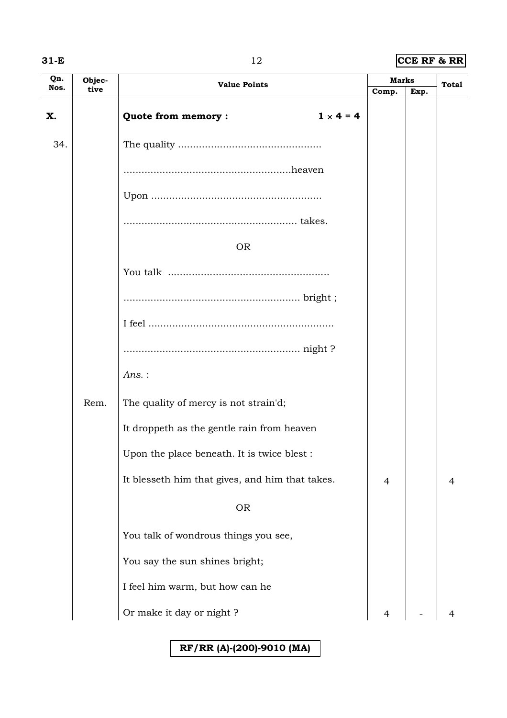| I<br>۰.<br>w |  |
|--------------|--|
|--------------|--|

#### **312 CCE RF & RR**

| Qn.  | Objec- | <b>Value Points</b>                             |                | <b>Marks</b> | <b>Total</b> |
|------|--------|-------------------------------------------------|----------------|--------------|--------------|
| Nos. | tive   |                                                 | Comp.          | Exp.         |              |
| X.   |        | Quote from memory :<br>$1 \times 4 = 4$         |                |              |              |
| 34.  |        |                                                 |                |              |              |
|      |        |                                                 |                |              |              |
|      |        |                                                 |                |              |              |
|      |        |                                                 |                |              |              |
|      |        | <b>OR</b>                                       |                |              |              |
|      |        |                                                 |                |              |              |
|      |        |                                                 |                |              |              |
|      |        |                                                 |                |              |              |
|      |        |                                                 |                |              |              |
|      |        | $Ans.$ :                                        |                |              |              |
|      | Rem.   | The quality of mercy is not strain'd;           |                |              |              |
|      |        | It droppeth as the gentle rain from heaven      |                |              |              |
|      |        | Upon the place beneath. It is twice blest :     |                |              |              |
|      |        | It blesseth him that gives, and him that takes. | $\overline{4}$ |              | 4            |
|      |        | <b>OR</b>                                       |                |              |              |
|      |        | You talk of wondrous things you see,            |                |              |              |
|      |        | You say the sun shines bright;                  |                |              |              |
|      |        | I feel him warm, but how can he                 |                |              |              |
|      |        | Or make it day or night?                        | $\overline{4}$ |              |              |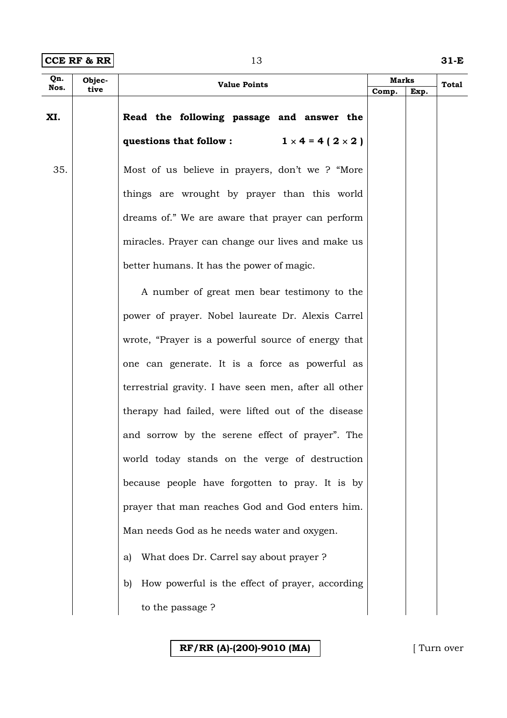## **CCE RF & RR** 31-E

| Qn.  | Objec- | <b>Value Points</b>                                   | <b>Marks</b> |      | Total |
|------|--------|-------------------------------------------------------|--------------|------|-------|
| Nos. | tive   |                                                       | Comp.        | Exp. |       |
| XI.  |        | Read the following passage and answer the             |              |      |       |
|      |        | questions that follow: $1 \times 4 = 4 (2 \times 2)$  |              |      |       |
| 35.  |        | Most of us believe in prayers, don't we? "More        |              |      |       |
|      |        | things are wrought by prayer than this world          |              |      |       |
|      |        | dreams of." We are aware that prayer can perform      |              |      |       |
|      |        | miracles. Prayer can change our lives and make us     |              |      |       |
|      |        | better humans. It has the power of magic.             |              |      |       |
|      |        | A number of great men bear testimony to the           |              |      |       |
|      |        | power of prayer. Nobel laureate Dr. Alexis Carrel     |              |      |       |
|      |        | wrote, "Prayer is a powerful source of energy that    |              |      |       |
|      |        | one can generate. It is a force as powerful as        |              |      |       |
|      |        | terrestrial gravity. I have seen men, after all other |              |      |       |
|      |        | therapy had failed, were lifted out of the disease    |              |      |       |
|      |        | and sorrow by the serene effect of prayer". The       |              |      |       |
|      |        | world today stands on the verge of destruction        |              |      |       |
|      |        | because people have forgotten to pray. It is by       |              |      |       |
|      |        | prayer that man reaches God and God enters him.       |              |      |       |
|      |        | Man needs God as he needs water and oxygen.           |              |      |       |
|      |        | What does Dr. Carrel say about prayer?<br>a)          |              |      |       |
|      |        | How powerful is the effect of prayer, according<br>b) |              |      |       |
|      |        | to the passage ?                                      |              |      |       |

**RF/RR (A)-(200)-9010 (MA)** [ Turn over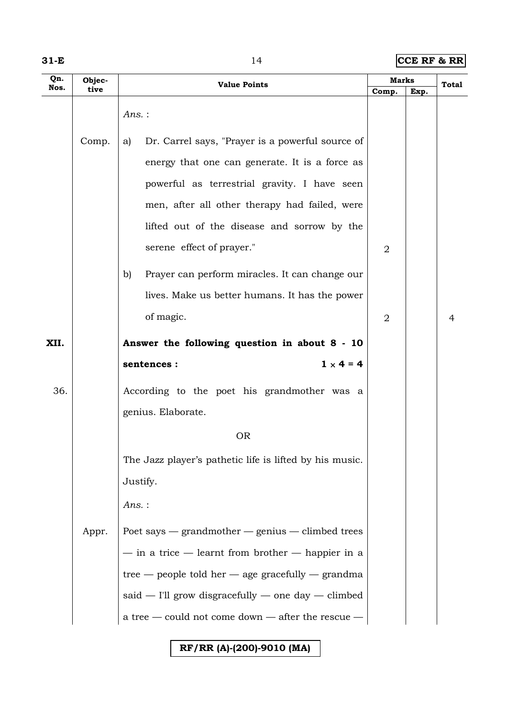| w<br>۰. |  |  |
|---------|--|--|
|---------|--|--|

**314 CCE RF & RR** 

| Qn.  | Objec- | <b>Value Points</b>                                      |                | <b>Marks</b> |       |
|------|--------|----------------------------------------------------------|----------------|--------------|-------|
| Nos. | tive   |                                                          | Comp.          | Exp.         | Total |
|      |        | Ans.:                                                    |                |              |       |
|      | Comp.  | Dr. Carrel says, "Prayer is a powerful source of<br>a)   |                |              |       |
|      |        | energy that one can generate. It is a force as           |                |              |       |
|      |        | powerful as terrestrial gravity. I have seen             |                |              |       |
|      |        | men, after all other therapy had failed, were            |                |              |       |
|      |        | lifted out of the disease and sorrow by the              |                |              |       |
|      |        | serene effect of prayer."                                | $\overline{2}$ |              |       |
|      |        | Prayer can perform miracles. It can change our<br>b)     |                |              |       |
|      |        | lives. Make us better humans. It has the power           |                |              |       |
|      |        | of magic.                                                | $\overline{2}$ |              | 4     |
| XII. |        | Answer the following question in about 8 - 10            |                |              |       |
|      |        | $1 \times 4 = 4$<br>sentences :                          |                |              |       |
| 36.  |        | According to the poet his grandmother was a              |                |              |       |
|      |        | genius. Elaborate.                                       |                |              |       |
|      |        | <b>OR</b>                                                |                |              |       |
|      |        | The Jazz player's pathetic life is lifted by his music.  |                |              |       |
|      |        | Justify.                                                 |                |              |       |
|      |        | Ans.:                                                    |                |              |       |
|      | Appr.  | Poet says $-$ grandmother $-$ genius $-$ climbed trees   |                |              |       |
|      |        | $-$ in a trice $-$ learnt from brother $-$ happier in a  |                |              |       |
|      |        | $tree$ - people told her - age gracefully - grandma      |                |              |       |
|      |        | said $-$ I'll grow disgracefully $-$ one day $-$ climbed |                |              |       |
|      |        | a tree — could not come down — after the rescue —        |                |              |       |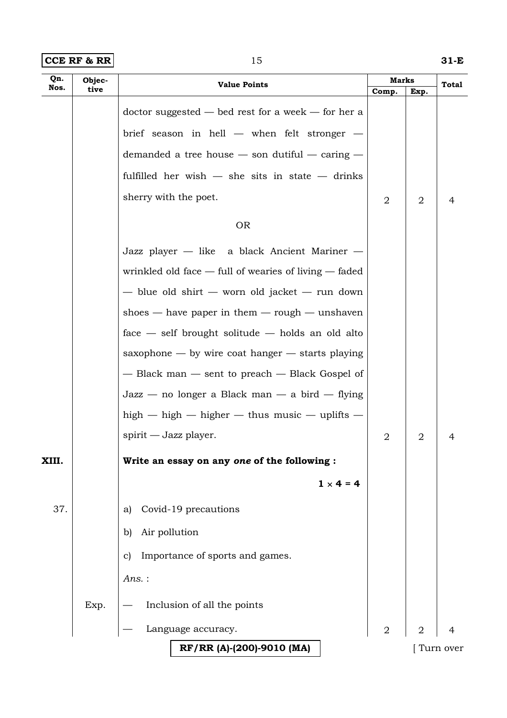| $ CCE$ RF & RR $ $ | $31-E$ |
|--------------------|--------|
|--------------------|--------|

| Qn.<br>Nos. | Objec-<br>tive | <b>Value Points</b>                                       | Marks          |                |           |
|-------------|----------------|-----------------------------------------------------------|----------------|----------------|-----------|
|             |                |                                                           | Comp.          | Exp.           | Total     |
|             |                | $doctor$ suggested $-$ bed rest for a week $-$ for her a  |                |                |           |
|             |                | brief season in hell $-$ when felt stronger $-$           |                |                |           |
|             |                | demanded a tree house $-$ son dutiful $-$ caring $-$      |                |                |           |
|             |                | fulfilled her wish $-$ she sits in state $-$ drinks       |                |                |           |
|             |                | sherry with the poet.                                     | 2              | 2              | 4         |
|             |                | <b>OR</b>                                                 |                |                |           |
|             |                | Jazz player — like a black Ancient Mariner —              |                |                |           |
|             |                | wrinkled old face $-$ full of wearies of living $-$ faded |                |                |           |
|             |                | - blue old shirt - worn old jacket - run down             |                |                |           |
|             |                | shoes $-$ have paper in them $-$ rough $-$ unshaven       |                |                |           |
|             |                | $face$ - self brought solitude - holds an old alto        |                |                |           |
|             |                | saxophone $-$ by wire coat hanger $-$ starts playing      |                |                |           |
|             |                | - Black man - sent to preach - Black Gospel of            |                |                |           |
|             |                | $\text{Jazz}$ — no longer a Black man — a bird — flying   |                |                |           |
|             |                | high $-$ high $-$ higher $-$ thus music $-$ uplifts $-$   |                |                |           |
|             |                | spirit — Jazz player.                                     | $\overline{2}$ | $\overline{2}$ | 4         |
| XIII.       |                | Write an essay on any one of the following :              |                |                |           |
|             |                | $1 \times 4 = 4$                                          |                |                |           |
| 37.         |                | Covid-19 precautions<br>a)                                |                |                |           |
|             |                | Air pollution<br>b)                                       |                |                |           |
|             |                | Importance of sports and games.<br>$\mathbf{c}$           |                |                |           |
|             |                | $Ans.$ :                                                  |                |                |           |
|             | Exp.           | Inclusion of all the points                               |                |                |           |
|             |                | Language accuracy.                                        | $\overline{2}$ |                | 4         |
|             |                | RF/RR (A)-(200)-9010 (MA)                                 |                |                | Turn over |